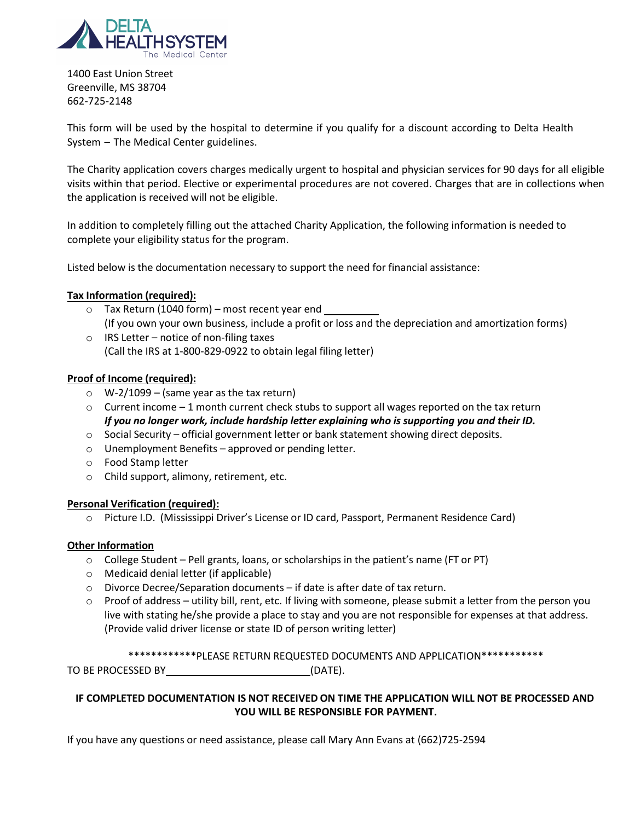

1400 East Union Street Greenville, MS 38704 662-725-2148

This form will be used by the hospital to determine if you qualify for a discount according to Delta Health System – The Medical Center guidelines.

The Charity application covers charges medically urgent to hospital and physician services for 90 days for all eligible visits within that period. Elective or experimental procedures are not covered. Charges that are in collections when the application is received will not be eligible.

In addition to completely filling out the attached Charity Application, the following information is needed to complete your eligibility status for the program.

Listed below is the documentation necessary to support the need for financial assistance:

### **Tax Information (required):**

- o Tax Return (1040 form) most recent year end (If you own your own business, include a profit or loss and the depreciation and amortization forms)
- $\circ$  IRS Letter notice of non-filing taxes (Call the IRS at 1-800-829-0922 to obtain legal filing letter)

## **Proof of Income (required):**

- $\circ$  W-2/1099 (same year as the tax return)
- $\circ$  Current income 1 month current check stubs to support all wages reported on the tax return *If you no longer work, include hardship letter explaining who is supporting you and their ID.*
- $\circ$  Social Security official government letter or bank statement showing direct deposits.
- o Unemployment Benefits approved or pending letter.
- o Food Stamp letter
- o Child support, alimony, retirement, etc.

## **Personal Verification (required):**

o Picture I.D. (Mississippi Driver's License or ID card, Passport, Permanent Residence Card)

## **Other Information**

- $\circ$  College Student Pell grants, loans, or scholarships in the patient's name (FT or PT)
- o Medicaid denial letter (if applicable)
- o Divorce Decree/Separation documents if date is after date of tax return.
- $\circ$  Proof of address utility bill, rent, etc. If living with someone, please submit a letter from the person you live with stating he/she provide a place to stay and you are not responsible for expenses at that address. (Provide valid driver license or state ID of person writing letter)

\*\*\*\*\*\*\*\*\*\*\*\*PLEASE RETURN REQUESTED DOCUMENTS AND APPLICATION\*\*\*\*\*\*\*\*\*\*\*

TO BE PROCESSED BY \_\_\_\_\_\_\_\_\_\_\_\_\_\_\_\_\_\_\_\_\_\_\_\_\_\_\_\_\_\_\_\_\_(DATE).

# **IF COMPLETED DOCUMENTATION IS NOT RECEIVED ON TIME THE APPLICATION WILL NOT BE PROCESSED AND YOU WILL BE RESPONSIBLE FOR PAYMENT.**

If you have any questions or need assistance, please call Mary Ann Evans at (662)725-2594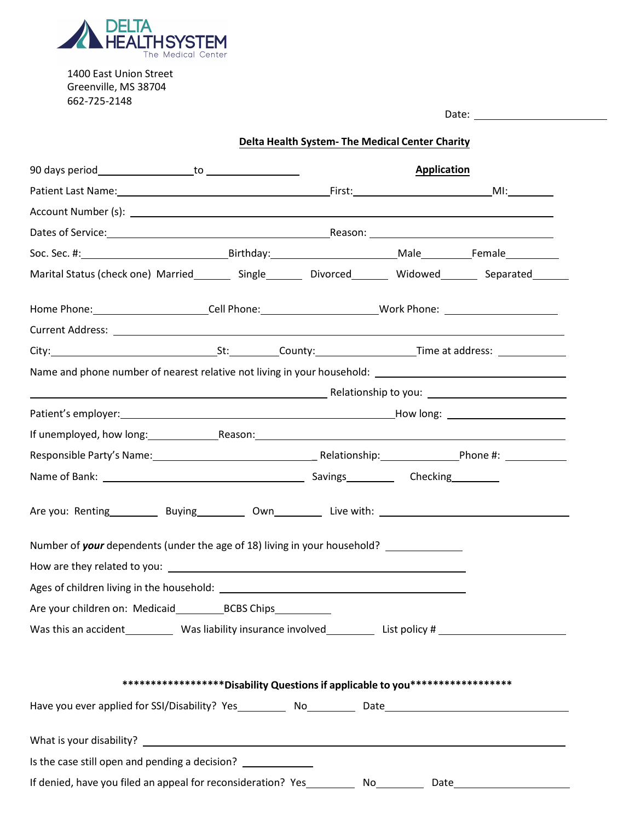

1400 East Union Street Greenville, MS 38704 662-725-2148

|                                                                                                                                                        |                                                                                 | Delta Health System- The Medical Center Charity |                    |  |
|--------------------------------------------------------------------------------------------------------------------------------------------------------|---------------------------------------------------------------------------------|-------------------------------------------------|--------------------|--|
|                                                                                                                                                        |                                                                                 |                                                 | <b>Application</b> |  |
|                                                                                                                                                        |                                                                                 |                                                 |                    |  |
|                                                                                                                                                        |                                                                                 |                                                 |                    |  |
|                                                                                                                                                        |                                                                                 |                                                 |                    |  |
|                                                                                                                                                        |                                                                                 |                                                 |                    |  |
| Marital Status (check one) Married_________ Single_________ Divorced_________ Widowed________ Separated_______                                         |                                                                                 |                                                 |                    |  |
| Home Phone: ________________________Cell Phone: _________________________________ Work Phone: ________________                                         |                                                                                 |                                                 |                    |  |
|                                                                                                                                                        |                                                                                 |                                                 |                    |  |
| City: City: County: County: County: Time at address:                                                                                                   |                                                                                 |                                                 |                    |  |
| Name and phone number of nearest relative not living in your household: [1986] Name and phone number of nearest relative not living in your household: |                                                                                 |                                                 |                    |  |
|                                                                                                                                                        |                                                                                 |                                                 |                    |  |
|                                                                                                                                                        |                                                                                 |                                                 |                    |  |
|                                                                                                                                                        |                                                                                 |                                                 |                    |  |
| Responsible Party's Name: 1980 1991 1992 - Relationship: 1993 - Phone #: 2008 - Phone #: 2008 1994 1994 1995 1                                         |                                                                                 |                                                 |                    |  |
|                                                                                                                                                        |                                                                                 |                                                 |                    |  |
| Are you: Renting _________ Buying _________ Own ________ Live with: ________________________________                                                   |                                                                                 |                                                 |                    |  |
| Number of your dependents (under the age of 18) living in your household? ____________                                                                 |                                                                                 |                                                 |                    |  |
|                                                                                                                                                        |                                                                                 |                                                 |                    |  |
|                                                                                                                                                        |                                                                                 |                                                 |                    |  |
|                                                                                                                                                        |                                                                                 |                                                 |                    |  |
| Was this an accident __________ Was liability insurance involved ____________List policy #                                                             |                                                                                 |                                                 |                    |  |
|                                                                                                                                                        | ********************Disability Questions if applicable to you****************** |                                                 |                    |  |
|                                                                                                                                                        |                                                                                 |                                                 |                    |  |
|                                                                                                                                                        |                                                                                 |                                                 |                    |  |
| Is the case still open and pending a decision? _____                                                                                                   |                                                                                 |                                                 |                    |  |
| If denied, have you filed an appeal for reconsideration? Yes____________ No__________ Date____________________                                         |                                                                                 |                                                 |                    |  |

Date: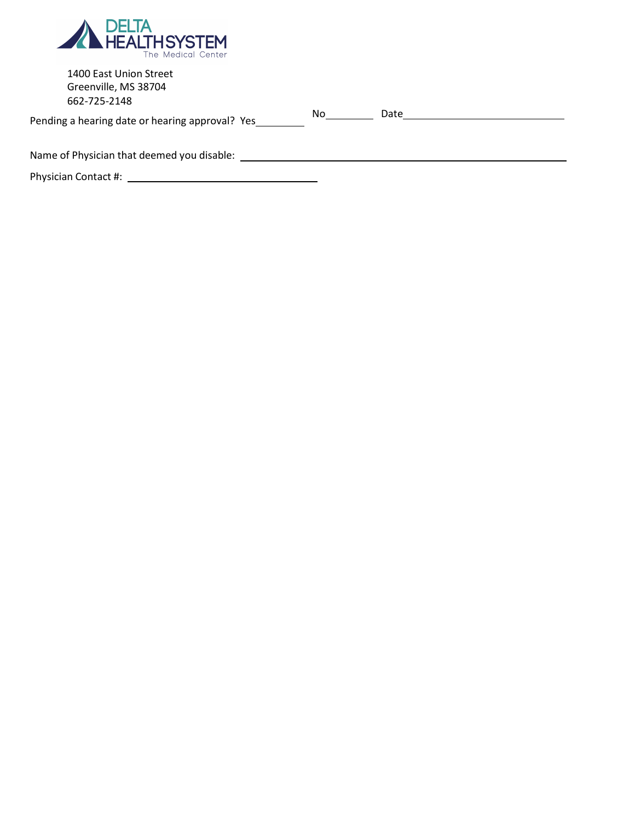

| 1400 East Union Street<br>Greenville, MS 38704<br>662-725-2148<br>Pending a hearing date or hearing approval? Yes | No l | Date |  |
|-------------------------------------------------------------------------------------------------------------------|------|------|--|
| Name of Physician that deemed you disable:                                                                        |      |      |  |
| Physician Contact #:                                                                                              |      |      |  |